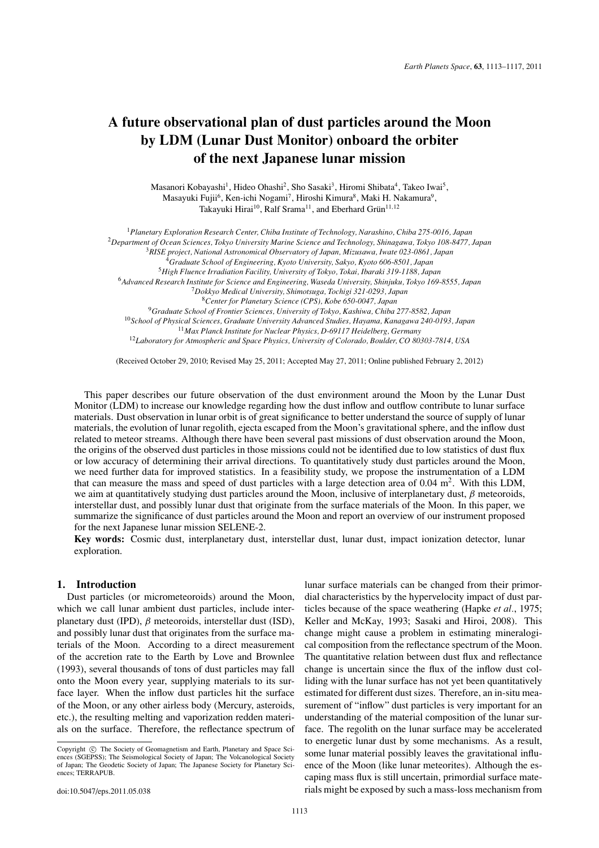# **A future observational plan of dust particles around the Moon by LDM (Lunar Dust Monitor) onboard the orbiter of the next Japanese lunar mission**

Masanori Kobayashi<sup>1</sup>, Hideo Ohashi<sup>2</sup>, Sho Sasaki<sup>3</sup>, Hiromi Shibata<sup>4</sup>, Takeo Iwai<sup>5</sup>, Masayuki Fujii<sup>6</sup>, Ken-ichi Nogami<sup>7</sup>, Hiroshi Kimura<sup>8</sup>, Maki H. Nakamura<sup>9</sup>, Takayuki Hirai<sup>10</sup>, Ralf Srama<sup>11</sup>, and Eberhard Grün<sup>11,12</sup>

*Planetary Exploration Research Center, Chiba Institute of Technology, Narashino, Chiba 275-0016, Japan Department of Ocean Sciences, Tokyo University Marine Science and Technology, Shinagawa, Tokyo 108-8477, Japan RISE project, National Astronomical Observatory of Japan, Mizusawa, Iwate 023-0861, Japan Graduate School of Engineering, Kyoto University, Sakyo, Kyoto 606-8501, Japan High Fluence Irradiation Facility, University of Tokyo, Tokai, Ibaraki 319-1188, Japan Advanced Research Institute for Science and Engineering, Waseda University, Shinjuku, Tokyo 169-8555, Japan Dokkyo Medical University, Shimotsuga, Tochigi 321-0293, Japan Center for Planetary Science (CPS), Kobe 650-0047, Japan Graduate School of Frontier Sciences, University of Tokyo, Kashiwa, Chiba 277-8582, Japan School of Physical Sciences, Graduate University Advanced Studies, Hayama, Kanagawa 240-0193, Japan Max Planck Institute for Nuclear Physics, D-69117 Heidelberg, Germany Laboratory for Atmospheric and Space Physics, University of Colorado, Boulder, CO 80303-7814, USA*

(Received October 29, 2010; Revised May 25, 2011; Accepted May 27, 2011; Online published February 2, 2012)

This paper describes our future observation of the dust environment around the Moon by the Lunar Dust Monitor (LDM) to increase our knowledge regarding how the dust inflow and outflow contribute to lunar surface materials. Dust observation in lunar orbit is of great significance to better understand the source of supply of lunar materials, the evolution of lunar regolith, ejecta escaped from the Moon's gravitational sphere, and the inflow dust related to meteor streams. Although there have been several past missions of dust observation around the Moon, the origins of the observed dust particles in those missions could not be identified due to low statistics of dust flux or low accuracy of determining their arrival directions. To quantitatively study dust particles around the Moon, we need further data for improved statistics. In a feasibility study, we propose the instrumentation of a LDM that can measure the mass and speed of dust particles with a large detection area of  $0.04 \text{ m}^2$ . With this LDM, we aim at quantitatively studying dust particles around the Moon, inclusive of interplanetary dust,  $\beta$  meteoroids, interstellar dust, and possibly lunar dust that originate from the surface materials of the Moon. In this paper, we summarize the significance of dust particles around the Moon and report an overview of our instrument proposed for the next Japanese lunar mission SELENE-2.

**Key words:** Cosmic dust, interplanetary dust, interstellar dust, lunar dust, impact ionization detector, lunar exploration.

## **1. Introduction**

Dust particles (or micrometeoroids) around the Moon, which we call lunar ambient dust particles, include interplanetary dust (IPD),  $\beta$  meteoroids, interstellar dust (ISD), and possibly lunar dust that originates from the surface materials of the Moon. According to a direct measurement of the accretion rate to the Earth by Love and Brownlee (1993), several thousands of tons of dust particles may fall onto the Moon every year, supplying materials to its surface layer. When the inflow dust particles hit the surface of the Moon, or any other airless body (Mercury, asteroids, etc.), the resulting melting and vaporization redden materials on the surface. Therefore, the reflectance spectrum of

lunar surface materials can be changed from their primordial characteristics by the hypervelocity impact of dust particles because of the space weathering (Hapke *et al.*, 1975; Keller and McKay, 1993; Sasaki and Hiroi, 2008). This change might cause a problem in estimating mineralogical composition from the reflectance spectrum of the Moon. The quantitative relation between dust flux and reflectance change is uncertain since the flux of the inflow dust colliding with the lunar surface has not yet been quantitatively estimated for different dust sizes. Therefore, an in-situ measurement of "inflow" dust particles is very important for an understanding of the material composition of the lunar surface. The regolith on the lunar surface may be accelerated to energetic lunar dust by some mechanisms. As a result, some lunar material possibly leaves the gravitational influence of the Moon (like lunar meteorites). Although the escaping mass flux is still uncertain, primordial surface materials might be exposed by such a mass-loss mechanism from

Copyright  $\odot$  The Society of Geomagnetism and Earth, Planetary and Space Sciences (SGEPSS); The Seismological Society of Japan; The Volcanological Society of Japan; The Geodetic Society of Japan; The Japanese Society for Planetary Sciences; TERRAPUB.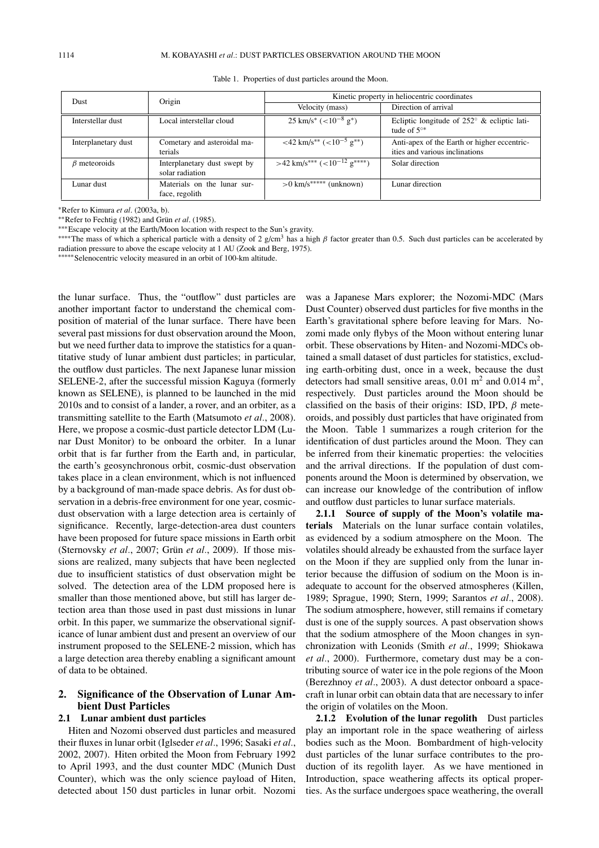| Dust                | Origin                                          | Kinetic property in heliocentric coordinates                      |                                                                               |
|---------------------|-------------------------------------------------|-------------------------------------------------------------------|-------------------------------------------------------------------------------|
|                     |                                                 | Velocity (mass)                                                   | Direction of arrival                                                          |
| Interstellar dust   | Local interstellar cloud                        | $25 \text{ km/s}^*$ (<10 <sup>-8</sup> g <sup>*</sup> )           | Ecliptic longitude of $252^{\circ}$ & ecliptic lati-<br>tude of $5^{\circ*}$  |
| Interplanetary dust | Cometary and asteroidal ma-<br>terials          | $<$ 42 km/s <sup>**</sup> $(<$ 10 <sup>-5</sup> g <sup>**</sup> ) | Anti-apex of the Earth or higher eccentric-<br>ities and various inclinations |
| $\beta$ meteoroids  | Interplanetary dust swept by<br>solar radiation | $>42$ km/s*** $(<10^{-12}$ g****)                                 | Solar direction                                                               |
| Lunar dust          | Materials on the lunar sur-<br>face, regolith   | $>0$ km/s***** (unknown)                                          | Lunar direction                                                               |

Table 1. Properties of dust particles around the Moon.

∗Refer to Kimura *et al*. (2003a, b).

∗∗Refer to Fechtig (1982) and Grun¨ *et al*. (1985).

∗∗∗Escape velocity at the Earth/Moon location with respect to the Sun's gravity.

∗∗∗∗∗Selenocentric velocity measured in an orbit of 100-km altitude.

the lunar surface. Thus, the "outflow" dust particles are another important factor to understand the chemical composition of material of the lunar surface. There have been several past missions for dust observation around the Moon, but we need further data to improve the statistics for a quantitative study of lunar ambient dust particles; in particular, the outflow dust particles. The next Japanese lunar mission SELENE-2, after the successful mission Kaguya (formerly known as SELENE), is planned to be launched in the mid 2010s and to consist of a lander, a rover, and an orbiter, as a transmitting satellite to the Earth (Matsumoto *et al.*, 2008). Here, we propose a cosmic-dust particle detector LDM (Lunar Dust Monitor) to be onboard the orbiter. In a lunar orbit that is far further from the Earth and, in particular, the earth's geosynchronous orbit, cosmic-dust observation takes place in a clean environment, which is not influenced by a background of man-made space debris. As for dust observation in a debris-free environment for one year, cosmicdust observation with a large detection area is certainly of significance. Recently, large-detection-area dust counters have been proposed for future space missions in Earth orbit (Sternovsky *et al.*, 2007; Grün *et al.*, 2009). If those missions are realized, many subjects that have been neglected due to insufficient statistics of dust observation might be solved. The detection area of the LDM proposed here is smaller than those mentioned above, but still has larger detection area than those used in past dust missions in lunar orbit. In this paper, we summarize the observational significance of lunar ambient dust and present an overview of our instrument proposed to the SELENE-2 mission, which has a large detection area thereby enabling a significant amount of data to be obtained.

# **2. Significance of the Observation of Lunar Ambient Dust Particles**

### **2.1 Lunar ambient dust particles**

Hiten and Nozomi observed dust particles and measured their fluxes in lunar orbit (Iglseder *et al.*, 1996; Sasaki *et al.*, 2002, 2007). Hiten orbited the Moon from February 1992 to April 1993, and the dust counter MDC (Munich Dust Counter), which was the only science payload of Hiten, detected about 150 dust particles in lunar orbit. Nozomi was a Japanese Mars explorer; the Nozomi-MDC (Mars Dust Counter) observed dust particles for five months in the Earth's gravitational sphere before leaving for Mars. Nozomi made only flybys of the Moon without entering lunar orbit. These observations by Hiten- and Nozomi-MDCs obtained a small dataset of dust particles for statistics, excluding earth-orbiting dust, once in a week, because the dust detectors had small sensitive areas,  $0.01 \text{ m}^2$  and  $0.014 \text{ m}^2$ . respectively. Dust particles around the Moon should be classified on the basis of their origins: ISD, IPD,  $\beta$  meteoroids, and possibly dust particles that have originated from the Moon. Table 1 summarizes a rough criterion for the identification of dust particles around the Moon. They can be inferred from their kinematic properties: the velocities and the arrival directions. If the population of dust components around the Moon is determined by observation, we can increase our knowledge of the contribution of inflow and outflow dust particles to lunar surface materials.

**2.1.1 Source of supply of the Moon's volatile materials** Materials on the lunar surface contain volatiles, as evidenced by a sodium atmosphere on the Moon. The volatiles should already be exhausted from the surface layer on the Moon if they are supplied only from the lunar interior because the diffusion of sodium on the Moon is inadequate to account for the observed atmospheres (Killen, 1989; Sprague, 1990; Stern, 1999; Sarantos *et al.*, 2008). The sodium atmosphere, however, still remains if cometary dust is one of the supply sources. A past observation shows that the sodium atmosphere of the Moon changes in synchronization with Leonids (Smith *et al.*, 1999; Shiokawa *et al.*, 2000). Furthermore, cometary dust may be a contributing source of water ice in the pole regions of the Moon (Berezhnoy *et al.*, 2003). A dust detector onboard a spacecraft in lunar orbit can obtain data that are necessary to infer the origin of volatiles on the Moon.

2.1.2 Evolution of the lunar regolith Dust particles play an important role in the space weathering of airless bodies such as the Moon. Bombardment of high-velocity dust particles of the lunar surface contributes to the production of its regolith layer. As we have mentioned in Introduction, space weathering affects its optical properties. As the surface undergoes space weathering, the overall

<sup>\*\*\*\*</sup>The mass of which a spherical particle with a density of 2 g/cm<sup>3</sup> has a high β factor greater than 0.5. Such dust particles can be accelerated by radiation pressure to above the escape velocity at 1 AU (Zook and Berg, 1975).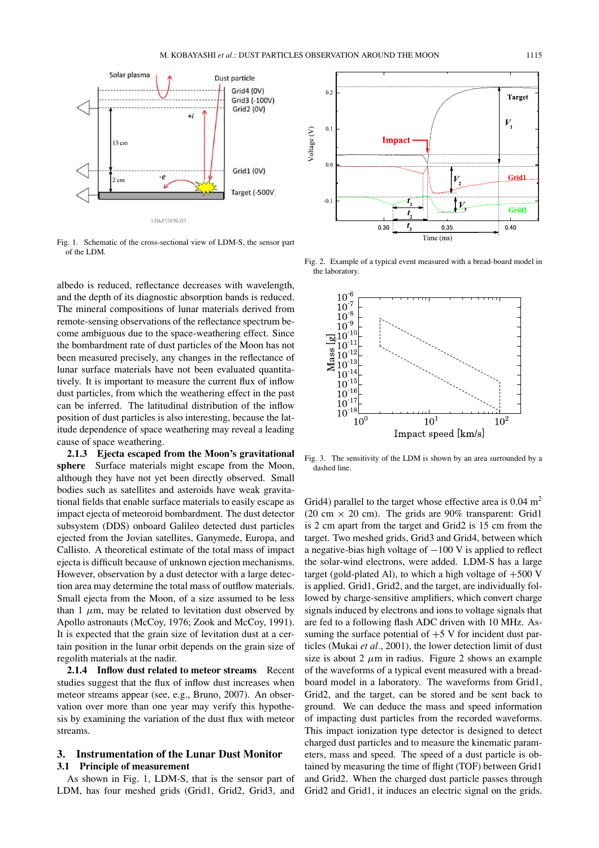

Fig. 1. Schematic of the cross-sectional view of LDM-S, the sensor part of the LDM.

albedo is reduced, reflectance decreases with wavelength, and the depth of its diagnostic absorption bands is reduced. The mineral compositions of lunar materials derived from remote-sensing observations of the reflectance spectrum become ambiguous due to the space-weathering effect. Since the bombardment rate of dust particles of the Moon has not been measured precisely, any changes in the reflectance of lunar surface materials have not been evaluated quantitatively. It is important to measure the current flux of inflow dust particles, from which the weathering effect in the past can be inferred. The latitudinal distribution of the inflow position of dust particles is also interesting, because the latitude dependence of space weathering may reveal a leading cause of space weathering.

**2.1.3 Ejecta escaped from the Moon's gravitational sphere** Surface materials might escape from the Moon, although they have not yet been directly observed. Small bodies such as satellites and asteroids have weak gravitational fields that enable surface materials to easily escape as impact ejecta of meteoroid bombardment. The dust detector subsystem (DDS) onboard Galileo detected dust particles ejected from the Jovian satellites, Ganymede, Europa, and Callisto. A theoretical estimate of the total mass of impact ejecta is difficult because of unknown ejection mechanisms. However, observation by a dust detector with a large detection area may determine the total mass of outflow materials. Small ejecta from the Moon, of a size assumed to be less than 1  $\mu$ m, may be related to levitation dust observed by Apollo astronauts (McCoy, 1976; Zook and McCoy, 1991). It is expected that the grain size of levitation dust at a certain position in the lunar orbit depends on the grain size of regolith materials at the nadir.

**2.1.4 Inflow dust related to meteor streams** Recent studies suggest that the flux of inflow dust increases when meteor streams appear (see, e.g., Bruno, 2007). An observation over more than one year may verify this hypothesis by examining the variation of the dust flux with meteor streams.

# **3. Instrumentation of the Lunar Dust Monitor 3.1 Principle of measurement**

As shown in Fig. 1, LDM-S, that is the sensor part of LDM, has four meshed grids (Grid1, Grid2, Grid3, and



Fig. 2. Example of a typical event measured with a bread-board model in the laboratory.



Fig. 3. The sensitivity of the LDM is shown by an area surrounded by a dashed line.

Grid4) parallel to the target whose effective area is  $0.04 \text{ m}^2$ (20 cm  $\times$  20 cm). The grids are 90% transparent: Grid1 is 2 cm apart from the target and Grid2 is 15 cm from the target. Two meshed grids, Grid3 and Grid4, between which a negative-bias high voltage of  $-100$  V is applied to reflect the solar-wind electrons, were added. LDM-S has a large target (gold-plated Al), to which a high voltage of  $+500$  V is applied. Grid1, Grid2, and the target, are individually followed by charge-sensitive amplifiers, which convert charge signals induced by electrons and ions to voltage signals that are fed to a following flash ADC driven with 10 MHz. Assuming the surface potential of  $+5$  V for incident dust particles (Mukai *et al.*, 2001), the lower detection limit of dust size is about 2  $\mu$ m in radius. Figure 2 shows an example of the waveforms of a typical event measured with a breadboard model in a laboratory. The waveforms from Grid1, Grid2, and the target, can be stored and be sent back to ground. We can deduce the mass and speed information of impacting dust particles from the recorded waveforms. This impact ionization type detector is designed to detect charged dust particles and to measure the kinematic parameters, mass and speed. The speed of a dust particle is obtained by measuring the time of flight (TOF) between Grid1 and Grid2. When the charged dust particle passes through Grid2 and Grid1, it induces an electric signal on the grids.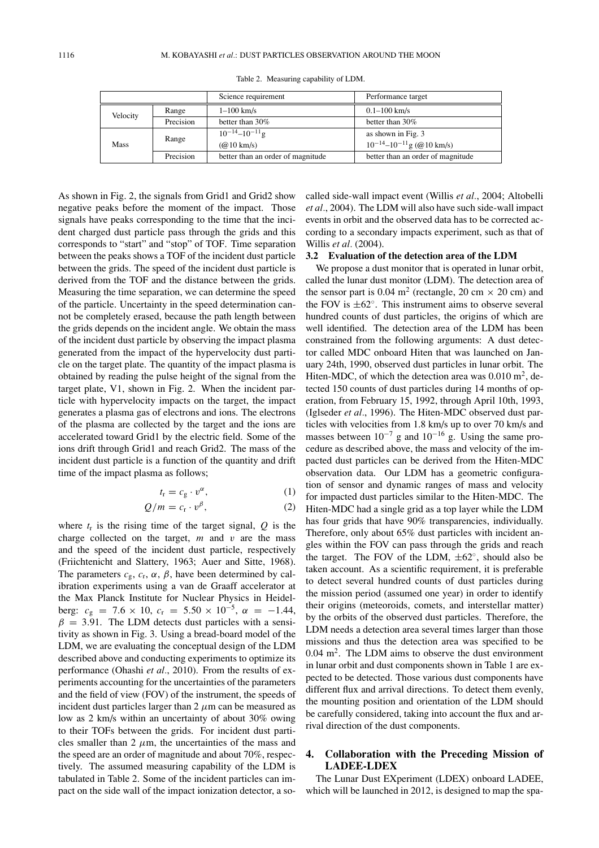Table 2. Measuring capability of LDM.

|          |           | Science requirement               | Performance target                  |
|----------|-----------|-----------------------------------|-------------------------------------|
| Velocity | Range     | $1 - 100$ km/s                    | $0.1 - 100$ km/s                    |
|          | Precision | better than 30%                   | better than $30\%$                  |
| Mass     | Range     | $10^{-14} - 10^{-11}$ g           | as shown in Fig. 3                  |
|          |           | $(Q(0) \text{ km/s})$             | $10^{-14} - 10^{-11}$ g (@ 10 km/s) |
|          | Precision | better than an order of magnitude | better than an order of magnitude   |

As shown in Fig. 2, the signals from Grid1 and Grid2 show negative peaks before the moment of the impact. Those signals have peaks corresponding to the time that the incident charged dust particle pass through the grids and this corresponds to "start" and "stop" of TOF. Time separation between the peaks shows a TOF of the incident dust particle between the grids. The speed of the incident dust particle is derived from the TOF and the distance between the grids. Measuring the time separation, we can determine the speed of the particle. Uncertainty in the speed determination cannot be completely erased, because the path length between the grids depends on the incident angle. We obtain the mass of the incident dust particle by observing the impact plasma generated from the impact of the hypervelocity dust particle on the target plate. The quantity of the impact plasma is obtained by reading the pulse height of the signal from the target plate, V1, shown in Fig. 2. When the incident particle with hypervelocity impacts on the target, the impact generates a plasma gas of electrons and ions. The electrons of the plasma are collected by the target and the ions are accelerated toward Grid1 by the electric field. Some of the ions drift through Grid1 and reach Grid2. The mass of the incident dust particle is a function of the quantity and drift time of the impact plasma as follows;

$$
t_{\rm r} = c_{\rm g} \cdot v^{\alpha}, \tag{1}
$$

$$
Q/m = c_{\rm r} \cdot v^{\beta}, \tag{2}
$$

where 
$$
t_r
$$
 is the rising time of the target signal, *Q* is the  
charge collected on the target, *m* and *v* are the mass  
and the speed of the incident dust particle, respectively  
(Frlichtenicht and Slattery, 1963; Auer and Sitte, 1968).  
The parameters  $c_g$ ,  $c_r$ ,  $\alpha$ ,  $\beta$ , have been determined by cal-  
ibration experiments using a van de Graaff accelerator at  
the Max Planck Institute for Nuclear Physics in Heidel-  
berg:  $c_g = 7.6 \times 10$ ,  $c_r = 5.50 \times 10^{-5}$ ,  $\alpha = -1.44$ ,  
 $\beta = 3.91$ . The LDM detects dust particles with a sensi-  
tivity as shown in Fig. 3. Using a bread-board model of the  
LDM, we are evaluating the conceptual design of the LDM  
described above and conducting experiments to optimize its  
performance (Ohashi *et al.*, 2010). From the results of ex-  
periments accounting for the uncertainties of the parameters  
and the field of view (FOV) of the instrument, the speeds of  
incident dust particles larger than 2  $\mu$ m can be measured as  
low as 2 km/s within an uncertainty of about 30% owing  
to their TOFs between the grids. For incident dust parti-  
cles smaller than 2  $\mu$ m, the uncertainties of the mass and  
the speed are an order of magnitude and about 70%, respec-  
tively. The assumed measuring capability of the LDM is  
tabulated in Table 2. Some of the incident particles can im-  
pact on the side wall of the impact ionization detector, a so-

called side-wall impact event (Willis *et al.*, 2004; Altobelli *et al.*, 2004). The LDM will also have such side-wall impact events in orbit and the observed data has to be corrected according to a secondary impacts experiment, such as that of Willis *et al.* (2004).

#### **3.2 Evaluation of the detection area of the LDM**

We propose a dust monitor that is operated in lunar orbit, called the lunar dust monitor (LDM). The detection area of the sensor part is 0.04 m<sup>2</sup> (rectangle, 20 cm  $\times$  20 cm) and the FOV is  $\pm 62^\circ$ . This instrument aims to observe several hundred counts of dust particles, the origins of which are well identified. The detection area of the LDM has been constrained from the following arguments: A dust detector called MDC onboard Hiten that was launched on January 24th, 1990, observed dust particles in lunar orbit. The Hiten-MDC, of which the detection area was  $0.010 \text{ m}^2$ , detected 150 counts of dust particles during 14 months of operation, from February 15, 1992, through April 10th, 1993, (Iglseder *et al.*, 1996). The Hiten-MDC observed dust particles with velocities from 1.8 km/s up to over 70 km/s and masses between  $10^{-7}$  g and  $10^{-16}$  g. Using the same procedure as described above, the mass and velocity of the impacted dust particles can be derived from the Hiten-MDC observation data. Our LDM has a geometric configuration of sensor and dynamic ranges of mass and velocity for impacted dust particles similar to the Hiten-MDC. The Hiten-MDC had a single grid as a top layer while the LDM has four grids that have 90% transparencies, individually. Therefore, only about 65% dust particles with incident angles within the FOV can pass through the grids and reach the target. The FOV of the LDM,  $\pm 62^\circ$ , should also be taken account. As a scientific requirement, it is preferable to detect several hundred counts of dust particles during the mission period (assumed one year) in order to identify their origins (meteoroids, comets, and interstellar matter) by the orbits of the observed dust particles. Therefore, the LDM needs a detection area several times larger than those missions and thus the detection area was specified to be  $0.04$  m<sup>2</sup>. The LDM aims to observe the dust environment in lunar orbit and dust components shown in Table 1 are expected to be detected. Those various dust components have different flux and arrival directions. To detect them evenly, the mounting position and orientation of the LDM should be carefully considered, taking into account the flux and arrival direction of the dust components.

# **4. Collaboration with the Preceding Mission of LADEE-LDEX**

The Lunar Dust EXperiment (LDEX) onboard LADEE, which will be launched in 2012, is designed to map the spa-